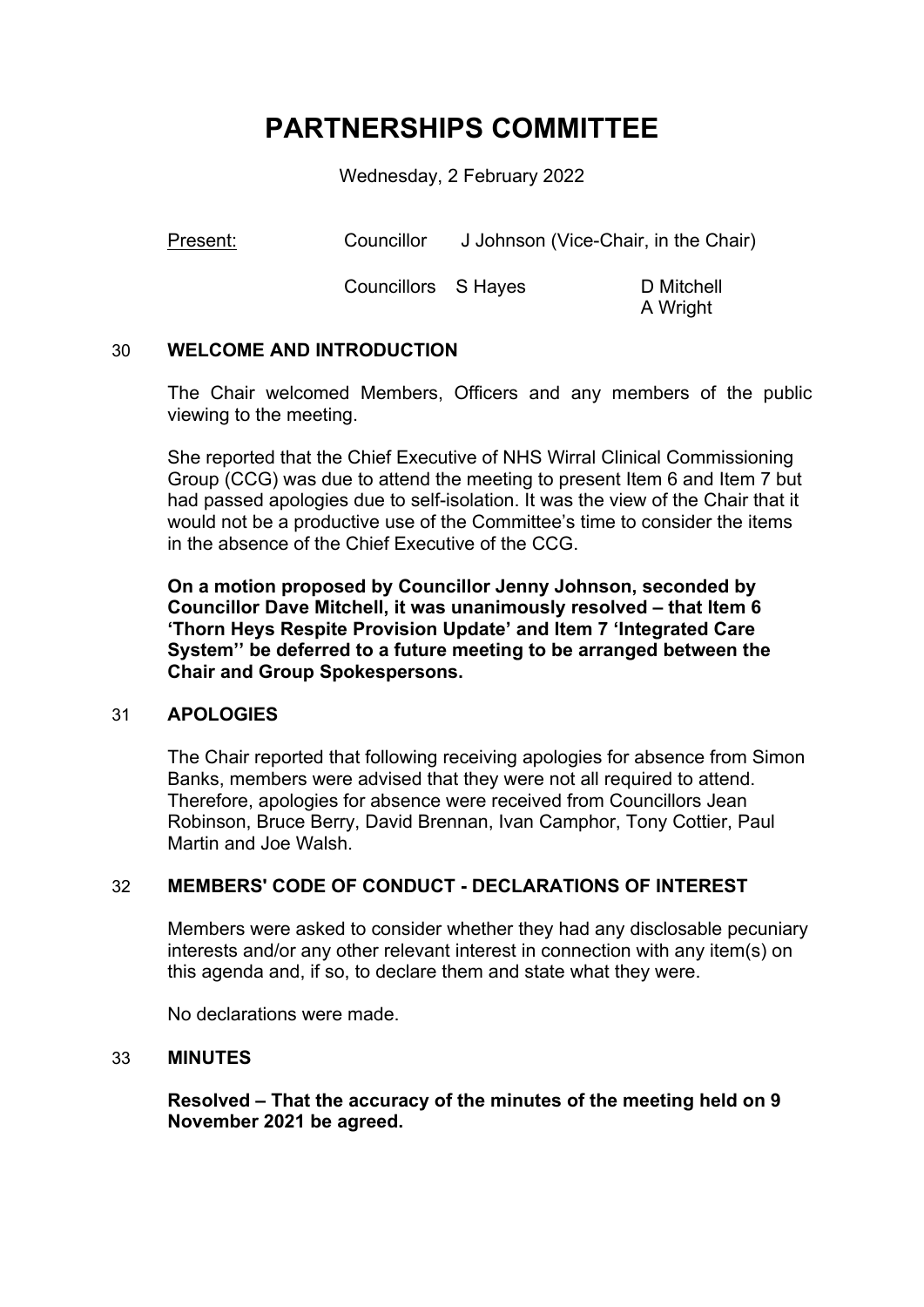# **PARTNERSHIPS COMMITTEE**

Wednesday, 2 February 2022

Present: Councillor J Johnson (Vice-Chair, in the Chair)

Councillors S Hayes D Mitchell

A Wright

## 30 **WELCOME AND INTRODUCTION**

The Chair welcomed Members, Officers and any members of the public viewing to the meeting.

She reported that the Chief Executive of NHS Wirral Clinical Commissioning Group (CCG) was due to attend the meeting to present Item 6 and Item 7 but had passed apologies due to self-isolation. It was the view of the Chair that it would not be a productive use of the Committee's time to consider the items in the absence of the Chief Executive of the CCG.

**On a motion proposed by Councillor Jenny Johnson, seconded by Councillor Dave Mitchell, it was unanimously resolved – that Item 6 'Thorn Heys Respite Provision Update' and Item 7 'Integrated Care System'' be deferred to a future meeting to be arranged between the Chair and Group Spokespersons.**

## 31 **APOLOGIES**

The Chair reported that following receiving apologies for absence from Simon Banks, members were advised that they were not all required to attend. Therefore, apologies for absence were received from Councillors Jean Robinson, Bruce Berry, David Brennan, Ivan Camphor, Tony Cottier, Paul Martin and Joe Walsh.

## 32 **MEMBERS' CODE OF CONDUCT - DECLARATIONS OF INTEREST**

Members were asked to consider whether they had any disclosable pecuniary interests and/or any other relevant interest in connection with any item(s) on this agenda and, if so, to declare them and state what they were.

No declarations were made.

## 33 **MINUTES**

**Resolved – That the accuracy of the minutes of the meeting held on 9 November 2021 be agreed.**